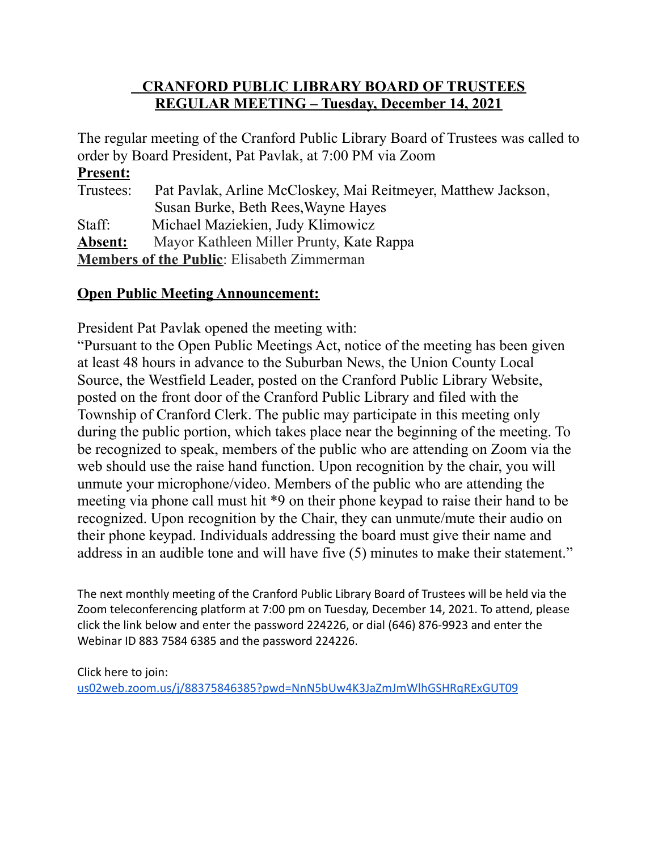### **CRANFORD PUBLIC LIBRARY BOARD OF TRUSTEES REGULAR MEETING – Tuesday, December 14, 2021**

The regular meeting of the Cranford Public Library Board of Trustees was called to order by Board President, Pat Pavlak, at 7:00 PM via Zoom

### **Present:**

| Trustees:                                         | Pat Pavlak, Arline McCloskey, Mai Reitmeyer, Matthew Jackson, |
|---------------------------------------------------|---------------------------------------------------------------|
|                                                   | Susan Burke, Beth Rees, Wayne Hayes                           |
| Staff:                                            | Michael Maziekien, Judy Klimowicz                             |
| Absent:                                           | Mayor Kathleen Miller Prunty, Kate Rappa                      |
| <b>Members of the Public:</b> Elisabeth Zimmerman |                                                               |

### **Open Public Meeting Announcement:**

President Pat Pavlak opened the meeting with:

"Pursuant to the Open Public Meetings Act, notice of the meeting has been given at least 48 hours in advance to the Suburban News, the Union County Local Source, the Westfield Leader, posted on the Cranford Public Library Website, posted on the front door of the Cranford Public Library and filed with the Township of Cranford Clerk. The public may participate in this meeting only during the public portion, which takes place near the beginning of the meeting. To be recognized to speak, members of the public who are attending on Zoom via the web should use the raise hand function. Upon recognition by the chair, you will unmute your microphone/video. Members of the public who are attending the meeting via phone call must hit \*9 on their phone keypad to raise their hand to be recognized. Upon recognition by the Chair, they can unmute/mute their audio on their phone keypad. Individuals addressing the board must give their name and address in an audible tone and will have five (5) minutes to make their statement."

The next monthly meeting of the Cranford Public Library Board of Trustees will be held via the Zoom teleconferencing platform at 7:00 pm on Tuesday, December 14, 2021. To attend, please click the link below and enter the password 224226, or dial (646) 876-9923 and enter the Webinar ID 883 7584 6385 and the password 224226.

Click here to join: [us02web.zoom.us/j/88375846385?pwd=NnN5bUw4K3JaZmJmWlhGSHRqRExGUT09](http://us02web.zoom.us/j/88375846385?pwd=NnN5bUw4K3JaZmJmWlhGSHRqRExGUT09)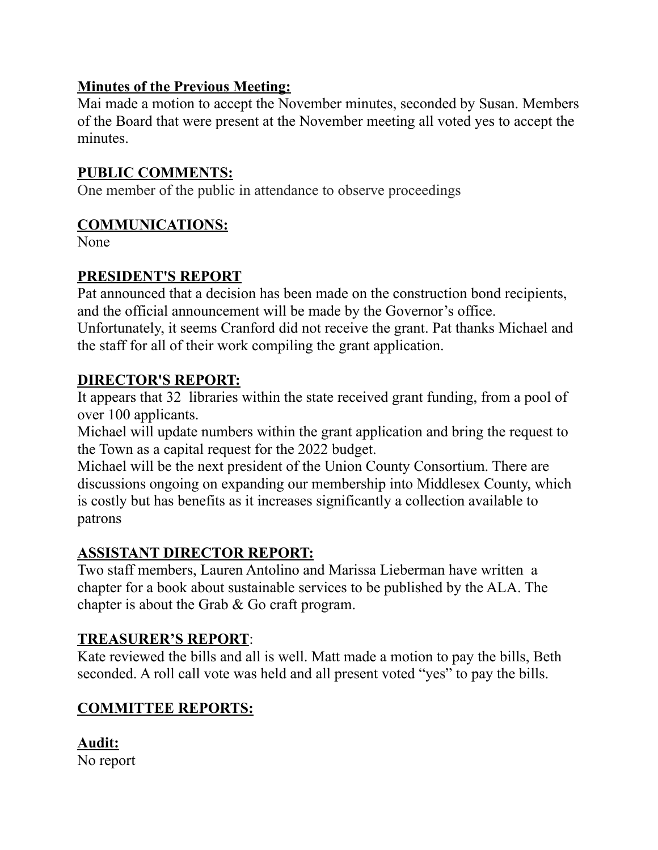### **Minutes of the Previous Meeting:**

Mai made a motion to accept the November minutes, seconded by Susan. Members of the Board that were present at the November meeting all voted yes to accept the minutes.

# **PUBLIC COMMENTS:**

One member of the public in attendance to observe proceedings

### **COMMUNICATIONS:**

None

# **PRESIDENT'S REPORT**

Pat announced that a decision has been made on the construction bond recipients, and the official announcement will be made by the Governor's office. Unfortunately, it seems Cranford did not receive the grant. Pat thanks Michael and the staff for all of their work compiling the grant application.

# **DIRECTOR'S REPORT:**

It appears that 32 libraries within the state received grant funding, from a pool of over 100 applicants.

Michael will update numbers within the grant application and bring the request to the Town as a capital request for the 2022 budget.

Michael will be the next president of the Union County Consortium. There are discussions ongoing on expanding our membership into Middlesex County, which is costly but has benefits as it increases significantly a collection available to patrons

# **ASSISTANT DIRECTOR REPORT:**

Two staff members, Lauren Antolino and Marissa Lieberman have written a chapter for a book about sustainable services to be published by the ALA. The chapter is about the Grab & Go craft program.

# **TREASURER'S REPORT**:

Kate reviewed the bills and all is well. Matt made a motion to pay the bills, Beth seconded. A roll call vote was held and all present voted "yes" to pay the bills.

# **COMMITTEE REPORTS:**

**Audit:** No report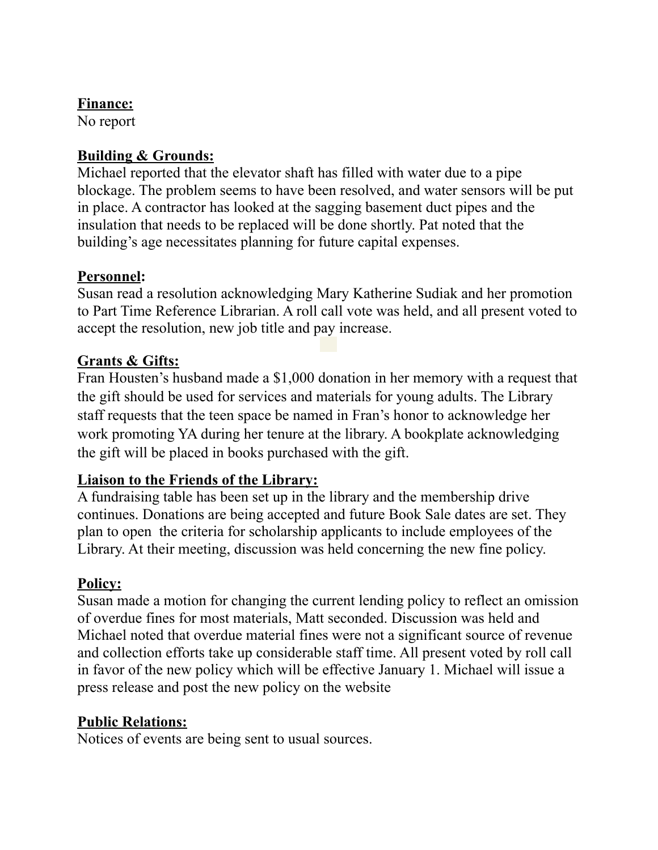### **Finance:**

No report

### **Building & Grounds:**

Michael reported that the elevator shaft has filled with water due to a pipe blockage. The problem seems to have been resolved, and water sensors will be put in place. A contractor has looked at the sagging basement duct pipes and the insulation that needs to be replaced will be done shortly. Pat noted that the building's age necessitates planning for future capital expenses.

### **Personnel:**

Susan read a resolution acknowledging Mary Katherine Sudiak and her promotion to Part Time Reference Librarian. A roll call vote was held, and all present voted to accept the resolution, new job title and pay increase.

# **Grants & Gifts:**

Fran Housten's husband made a \$1,000 donation in her memory with a request that the gift should be used for services and materials for young adults. The Library staff requests that the teen space be named in Fran's honor to acknowledge her work promoting YA during her tenure at the library. A bookplate acknowledging the gift will be placed in books purchased with the gift.

# **Liaison to the Friends of the Library:**

A fundraising table has been set up in the library and the membership drive continues. Donations are being accepted and future Book Sale dates are set. They plan to open the criteria for scholarship applicants to include employees of the Library. At their meeting, discussion was held concerning the new fine policy.

# **Policy:**

Susan made a motion for changing the current lending policy to reflect an omission of overdue fines for most materials, Matt seconded. Discussion was held and Michael noted that overdue material fines were not a significant source of revenue and collection efforts take up considerable staff time. All present voted by roll call in favor of the new policy which will be effective January 1. Michael will issue a press release and post the new policy on the website

# **Public Relations:**

Notices of events are being sent to usual sources.